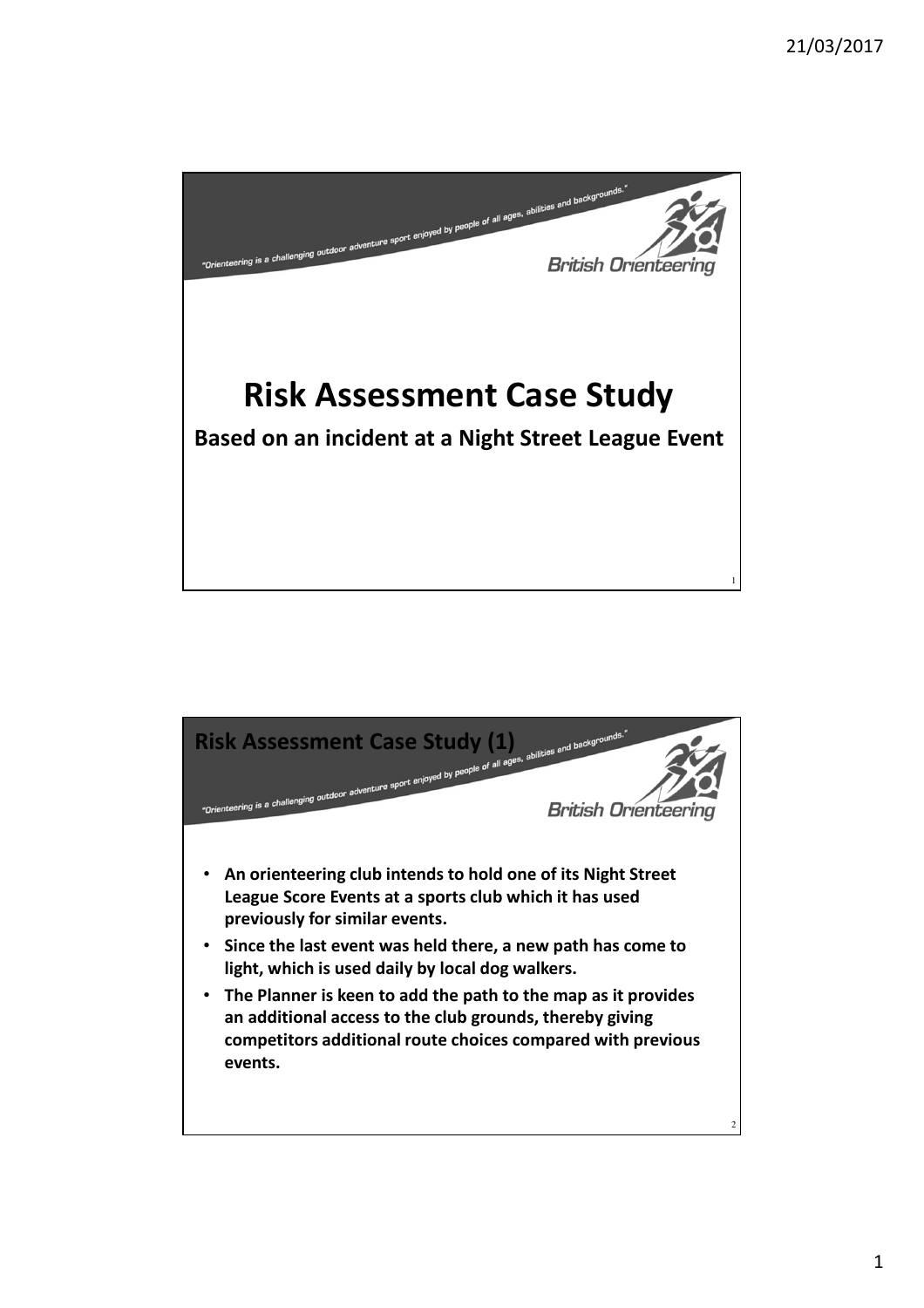

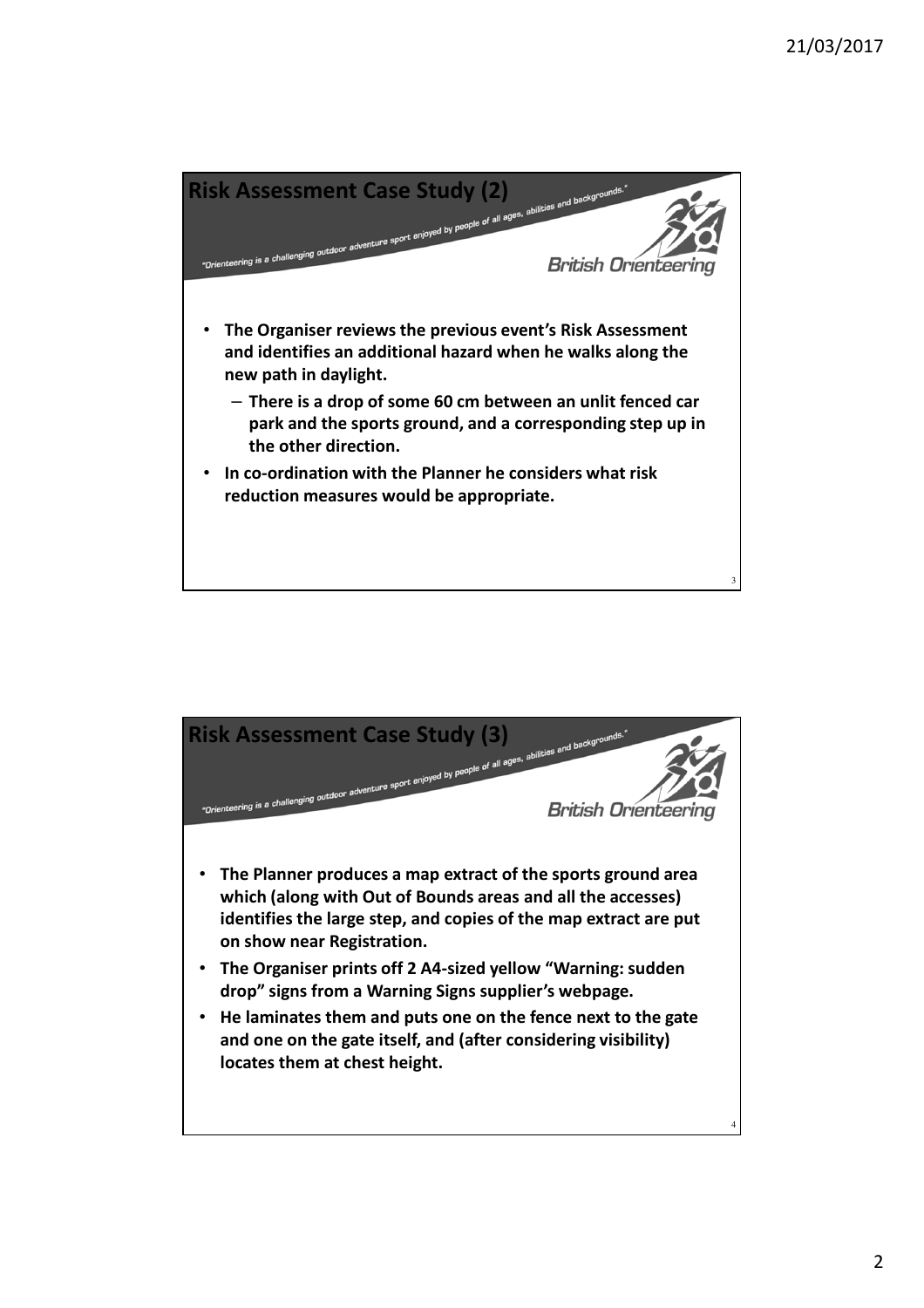

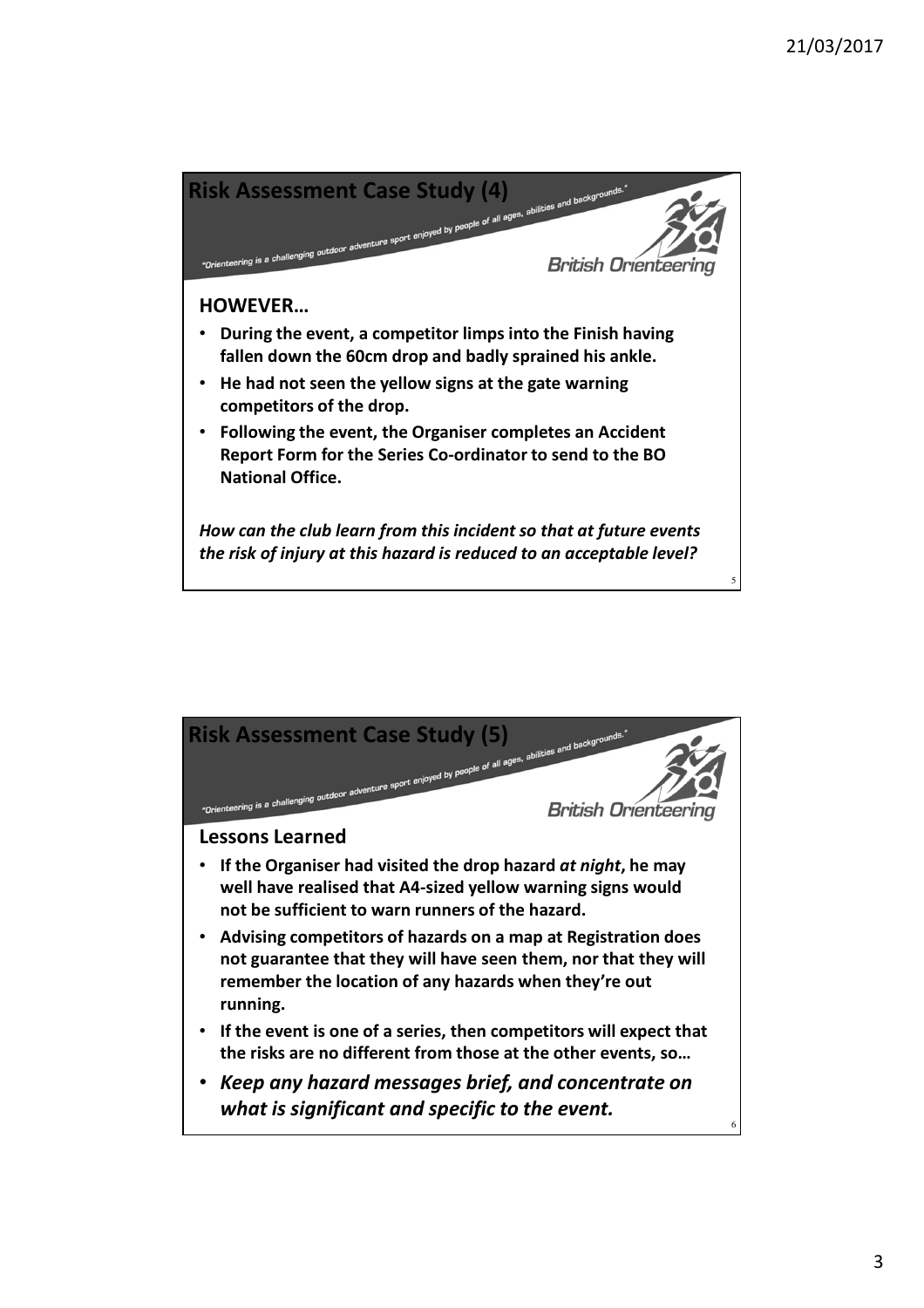